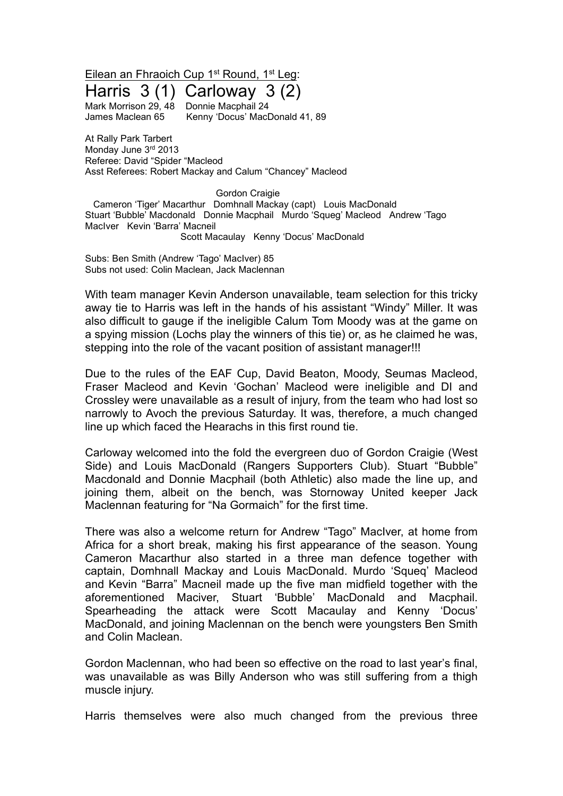Eilean an Fhraoich Cup 1<sup>st</sup> Round, 1<sup>st</sup> Leg:

Harris 3 (1) Carloway 3 (2) Mark Morrison 29, 48 Donnie Macphail 24

James Maclean 65 Kenny 'Docus' MacDonald 41, 89

At Rally Park Tarbert Monday June 3rd 2013 Referee: David "Spider "Macleod Asst Referees: Robert Mackay and Calum "Chancey" Macleod

Gordon Craigie

Cameron 'Tiger' Macarthur Domhnall Mackay (capt) Louis MacDonald Stuart 'Bubble' Macdonald Donnie Macphail Murdo 'Squeg' Macleod Andrew 'Tago MacIver Kevin 'Barra' Macneil Scott Macaulay Kenny 'Docus' MacDonald

Subs: Ben Smith (Andrew 'Tago' MacIver) 85 Subs not used: Colin Maclean, Jack Maclennan

With team manager Kevin Anderson unavailable, team selection for this tricky away tie to Harris was left in the hands of his assistant "Windy" Miller. It was also difficult to gauge if the ineligible Calum Tom Moody was at the game on a spying mission (Lochs play the winners of this tie) or, as he claimed he was, stepping into the role of the vacant position of assistant manager!!!

Due to the rules of the EAF Cup, David Beaton, Moody, Seumas Macleod, Fraser Macleod and Kevin 'Gochan' Macleod were ineligible and DI and Crossley were unavailable as a result of injury, from the team who had lost so narrowly to Avoch the previous Saturday. It was, therefore, a much changed line up which faced the Hearachs in this first round tie.

Carloway welcomed into the fold the evergreen duo of Gordon Craigie (West Side) and Louis MacDonald (Rangers Supporters Club). Stuart "Bubble" Macdonald and Donnie Macphail (both Athletic) also made the line up, and joining them, albeit on the bench, was Stornoway United keeper Jack Maclennan featuring for "Na Gormaich" for the first time.

There was also a welcome return for Andrew "Tago" MacIver, at home from Africa for a short break, making his first appearance of the season. Young Cameron Macarthur also started in a three man defence together with captain, Domhnall Mackay and Louis MacDonald. Murdo 'Squeq' Macleod and Kevin "Barra" Macneil made up the five man midfield together with the aforementioned Maciver, Stuart 'Bubble' MacDonald and Macphail. Spearheading the attack were Scott Macaulay and Kenny 'Docus' MacDonald, and joining Maclennan on the bench were youngsters Ben Smith and Colin Maclean.

Gordon Maclennan, who had been so effective on the road to last year's final, was unavailable as was Billy Anderson who was still suffering from a thigh muscle injury.

Harris themselves were also much changed from the previous three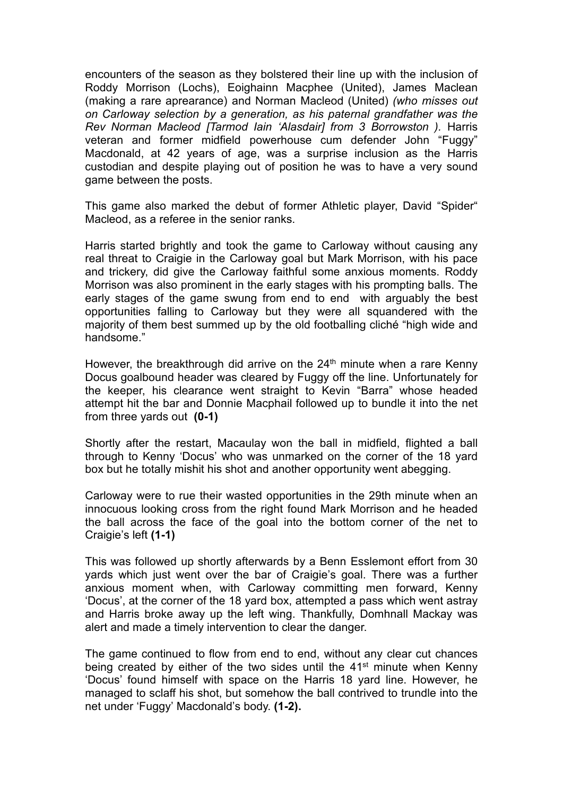encounters of the season as they bolstered their line up with the inclusion of Roddy Morrison (Lochs), Eoighainn Macphee (United), James Maclean (making a rare aprearance) and Norman Macleod (United) *(who misses out on Carloway selection by a generation, as his paternal grandfather was the Rev Norman Macleod [Tarmod Iain 'Alasdair] from 3 Borrowston ).* Harris veteran and former midfield powerhouse cum defender John "Fuggy" Macdonald, at 42 years of age, was a surprise inclusion as the Harris custodian and despite playing out of position he was to have a very sound game between the posts.

This game also marked the debut of former Athletic player, David "Spider" Macleod, as a referee in the senior ranks.

Harris started brightly and took the game to Carloway without causing any real threat to Craigie in the Carloway goal but Mark Morrison, with his pace and trickery, did give the Carloway faithful some anxious moments. Roddy Morrison was also prominent in the early stages with his prompting balls. The early stages of the game swung from end to end with arguably the best opportunities falling to Carloway but they were all squandered with the majority of them best summed up by the old footballing cliché "high wide and handsome."

However, the breakthrough did arrive on the 24<sup>th</sup> minute when a rare Kenny Docus goalbound header was cleared by Fuggy off the line. Unfortunately for the keeper, his clearance went straight to Kevin "Barra" whose headed attempt hit the bar and Donnie Macphail followed up to bundle it into the net from three yards out **(0-1)**

Shortly after the restart, Macaulay won the ball in midfield, flighted a ball through to Kenny 'Docus' who was unmarked on the corner of the 18 yard box but he totally mishit his shot and another opportunity went abegging.

Carloway were to rue their wasted opportunities in the 29th minute when an innocuous looking cross from the right found Mark Morrison and he headed the ball across the face of the goal into the bottom corner of the net to Craigie's left **(1-1)**

This was followed up shortly afterwards by a Benn Esslemont effort from 30 yards which just went over the bar of Craigie's goal. There was a further anxious moment when, with Carloway committing men forward, Kenny 'Docus', at the corner of the 18 yard box, attempted a pass which went astray and Harris broke away up the left wing. Thankfully, Domhnall Mackay was alert and made a timely intervention to clear the danger.

The game continued to flow from end to end, without any clear cut chances being created by either of the two sides until the  $41<sup>st</sup>$  minute when Kenny 'Docus' found himself with space on the Harris 18 yard line. However, he managed to sclaff his shot, but somehow the ball contrived to trundle into the net under 'Fuggy' Macdonald's body. **(1-2).**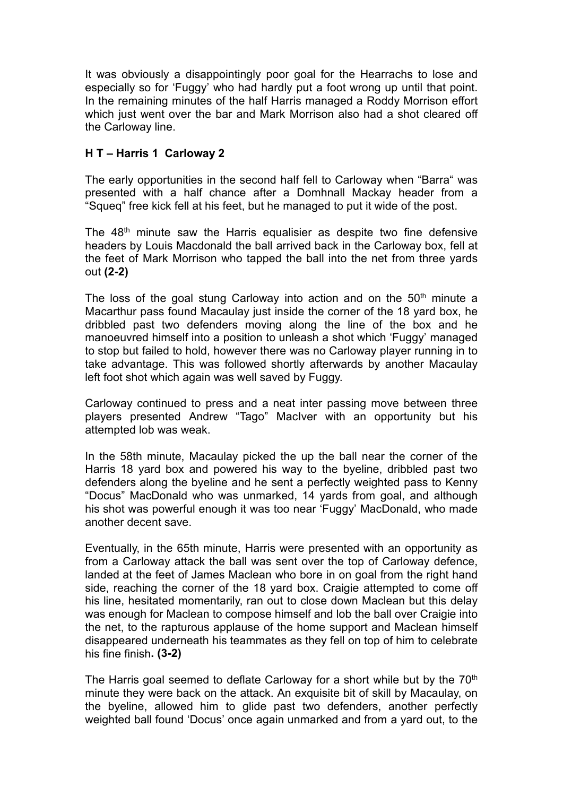It was obviously a disappointingly poor goal for the Hearrachs to lose and especially so for 'Fuggy' who had hardly put a foot wrong up until that point. In the remaining minutes of the half Harris managed a Roddy Morrison effort which just went over the bar and Mark Morrison also had a shot cleared off the Carloway line.

## **H T – Harris 1 Carloway 2**

The early opportunities in the second half fell to Carloway when "Barra" was presented with a half chance after a Domhnall Mackay header from a "Squeq" free kick fell at his feet, but he managed to put it wide of the post.

The 48<sup>th</sup> minute saw the Harris equalisier as despite two fine defensive headers by Louis Macdonald the ball arrived back in the Carloway box, fell at the feet of Mark Morrison who tapped the ball into the net from three yards out **(2-2)**

The loss of the goal stung Carloway into action and on the  $50<sup>th</sup>$  minute a Macarthur pass found Macaulay just inside the corner of the 18 yard box, he dribbled past two defenders moving along the line of the box and he manoeuvred himself into a position to unleash a shot which 'Fuggy' managed to stop but failed to hold, however there was no Carloway player running in to take advantage. This was followed shortly afterwards by another Macaulay left foot shot which again was well saved by Fuggy.

Carloway continued to press and a neat inter passing move between three players presented Andrew "Tago" MacIver with an opportunity but his attempted lob was weak.

In the 58th minute, Macaulay picked the up the ball near the corner of the Harris 18 yard box and powered his way to the byeline, dribbled past two defenders along the byeline and he sent a perfectly weighted pass to Kenny "Docus" MacDonald who was unmarked, 14 yards from goal, and although his shot was powerful enough it was too near 'Fuggy' MacDonald, who made another decent save.

Eventually, in the 65th minute, Harris were presented with an opportunity as from a Carloway attack the ball was sent over the top of Carloway defence, landed at the feet of James Maclean who bore in on goal from the right hand side, reaching the corner of the 18 yard box. Craigie attempted to come off his line, hesitated momentarily, ran out to close down Maclean but this delay was enough for Maclean to compose himself and lob the ball over Craigie into the net, to the rapturous applause of the home support and Maclean himself disappeared underneath his teammates as they fell on top of him to celebrate his fine finish**. (3-2)**

The Harris goal seemed to deflate Carloway for a short while but by the  $70<sup>th</sup>$ minute they were back on the attack. An exquisite bit of skill by Macaulay, on the byeline, allowed him to glide past two defenders, another perfectly weighted ball found 'Docus' once again unmarked and from a yard out, to the